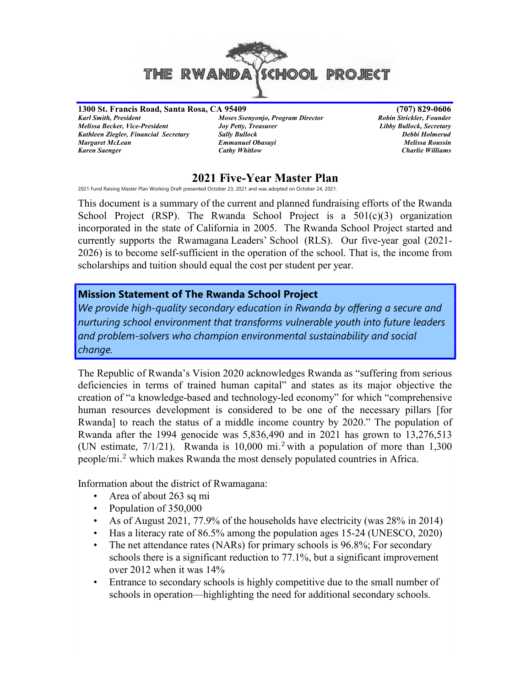

1300 St. Francis Road, Santa Rosa, CA 95409 (707) 829-0606 Melissa Becker, Vice-President Joy Petty, Treasurer Libby Bullock, Secretary Kathleen Ziegler, Financial Secretary Sally Bullock (Sally Bullock Debbi Holmerud Debbi Holmerud Debbi Holmerud<br>Margaret McLean (Debbi Holmes Emmanuel Obasuyi ) Debbi Holmes (Debbi Holmerud Debbi Holmerud ) Debbi Holmerud Karen Saenger **Cathy Whitlow** Cathy Whitlow Charlie Williams

Moses Ssenyonjo, Program Director **Emmanuel Obasuyi** 

# 2021 Five-Year Master Plan

2021 Fund Raising Master Plan Working Draft presented October 23, 2021 and was adopted on October 24, 2021.

This document is a summary of the current and planned fundraising efforts of the Rwanda School Project (RSP). The Rwanda School Project is a  $501(c)(3)$  organization incorporated in the state of California in 2005. The Rwanda School Project started and currently supports the Rwamagana Leaders' School (RLS). Our five-year goal (2021- 2026) is to become self-sufficient in the operation of the school. That is, the income from scholarships and tuition should equal the cost per student per year.

#### Mission Statement of The Rwanda School Project

We provide high-quality secondary education in Rwanda by offering a secure and nurturing school environment that transforms vulnerable youth into future leaders and problem-solvers who champion environmental sustainability and social change.

The Republic of Rwanda's Vision 2020 acknowledges Rwanda as "suffering from serious deficiencies in terms of trained human capital" and states as its major objective the creation of "a knowledge-based and technology-led economy" for which "comprehensive human resources development is considered to be one of the necessary pillars [for Rwanda] to reach the status of a middle income country by 2020." The population of Rwanda after the 1994 genocide was 5,836,490 and in 2021 has grown to 13,276,513 (UN estimate,  $7/1/21$ ). Rwanda is  $10,000$  mi.<sup>2</sup> with a population of more than  $1,300$ people/mi.<sup>2</sup> which makes Rwanda the most densely populated countries in Africa.

Information about the district of Rwamagana:

- Area of about 263 sq mi
- Population of 350,000
- As of August 2021, 77.9% of the households have electricity (was 28% in 2014)
- Has a literacy rate of 86.5% among the population ages 15-24 (UNESCO, 2020)
- The net attendance rates (NARs) for primary schools is 96.8%; For secondary schools there is a significant reduction to 77.1%, but a significant improvement over 2012 when it was 14%
- Entrance to secondary schools is highly competitive due to the small number of schools in operation—highlighting the need for additional secondary schools.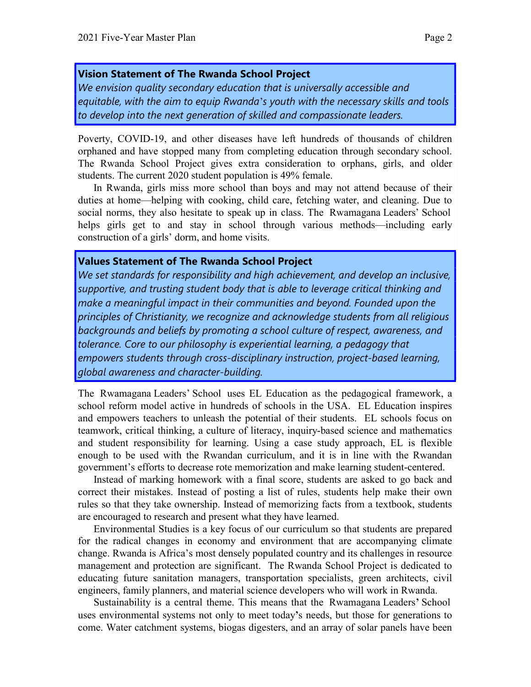#### Vision Statement of The Rwanda School Project

We envision quality secondary education that is universally accessible and equitable, with the aim to equip Rwanda's youth with the necessary skills and tools to develop into the next generation of skilled and compassionate leaders.

Poverty, COVID-19, and other diseases have left hundreds of thousands of children orphaned and have stopped many from completing education through secondary school. The Rwanda School Project gives extra consideration to orphans, girls, and older students. The current 2020 student population is 49% female.

 In Rwanda, girls miss more school than boys and may not attend because of their duties at home—helping with cooking, child care, fetching water, and cleaning. Due to social norms, they also hesitate to speak up in class. The Rwamagana Leaders' School helps girls get to and stay in school through various methods—including early construction of a girls' dorm, and home visits.

#### Values Statement of The Rwanda School Project

We set standards for responsibility and high achievement, and develop an inclusive, supportive, and trusting student body that is able to leverage critical thinking and make a meaningful impact in their communities and beyond. Founded upon the principles of Christianity, we recognize and acknowledge students from all religious backgrounds and beliefs by promoting a school culture of respect, awareness, and tolerance. Core to our philosophy is experiential learning, a pedagogy that empowers students through cross-disciplinary instruction, project-based learning, global awareness and character-building.

The Rwamagana Leaders' School uses EL Education as the pedagogical framework, a school reform model active in hundreds of schools in the USA. EL Education inspires and empowers teachers to unleash the potential of their students. EL schools focus on teamwork, critical thinking, a culture of literacy, inquiry-based science and mathematics and student responsibility for learning. Using a case study approach, EL is flexible enough to be used with the Rwandan curriculum, and it is in line with the Rwandan government's efforts to decrease rote memorization and make learning student-centered.

Instead of marking homework with a final score, students are asked to go back and correct their mistakes. Instead of posting a list of rules, students help make their own rules so that they take ownership. Instead of memorizing facts from a textbook, students are encouraged to research and present what they have learned.

Environmental Studies is a key focus of our curriculum so that students are prepared for the radical changes in economy and environment that are accompanying climate change. Rwanda is Africa's most densely populated country and its challenges in resource management and protection are significant. The Rwanda School Project is dedicated to educating future sanitation managers, transportation specialists, green architects, civil engineers, family planners, and material science developers who will work in Rwanda.

Sustainability is a central theme. This means that the Rwamagana Leaders' School uses environmental systems not only to meet today's needs, but those for generations to come. Water catchment systems, biogas digesters, and an array of solar panels have been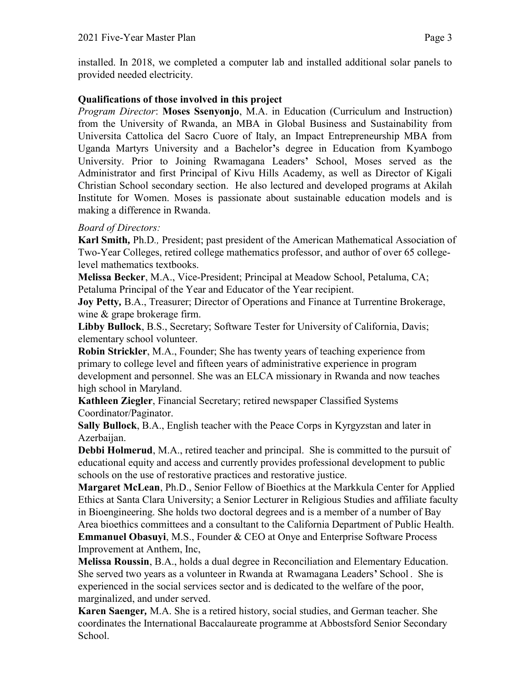installed. In 2018, we completed a computer lab and installed additional solar panels to provided needed electricity.

## Qualifications of those involved in this project

*Program Director*: **Moses Ssenyonjo**, M.A. in Education (Curriculum and Instruction) from the University of Rwanda, an MBA in Global Business and Sustainability from Universita Cattolica del Sacro Cuore of Italy, an Impact Entrepreneurship MBA from Uganda Martyrs University and a Bachelor's degree in Education from Kyambogo University. Prior to Joining Rwamagana Leaders' School, Moses served as the Administrator and first Principal of Kivu Hills Academy, as well as Director of Kigali Christian School secondary section. He also lectured and developed programs at Akilah Institute for Women. Moses is passionate about sustainable education models and is making a difference in Rwanda.

## Board of Directors:

Karl Smith, Ph.D., President; past president of the American Mathematical Association of Two-Year Colleges, retired college mathematics professor, and author of over 65 collegelevel mathematics textbooks.

Melissa Becker, M.A., Vice-President; Principal at Meadow School, Petaluma, CA; Petaluma Principal of the Year and Educator of the Year recipient.

Joy Petty, B.A., Treasurer; Director of Operations and Finance at Turrentine Brokerage, wine & grape brokerage firm.

Libby Bullock, B.S., Secretary; Software Tester for University of California, Davis; elementary school volunteer.

Robin Strickler, M.A., Founder; She has twenty years of teaching experience from primary to college level and fifteen years of administrative experience in program development and personnel. She was an ELCA missionary in Rwanda and now teaches high school in Maryland.

Kathleen Ziegler, Financial Secretary; retired newspaper Classified Systems Coordinator/Paginator.

Sally Bullock, B.A., English teacher with the Peace Corps in Kyrgyzstan and later in Azerbaijan.

Debbi Holmerud, M.A., retired teacher and principal. She is committed to the pursuit of educational equity and access and currently provides professional development to public schools on the use of restorative practices and restorative justice.

Margaret McLean, Ph.D., Senior Fellow of Bioethics at the Markkula Center for Applied Ethics at Santa Clara University; a Senior Lecturer in Religious Studies and affiliate faculty in Bioengineering. She holds two doctoral degrees and is a member of a number of Bay Area bioethics committees and a consultant to the California Department of Public Health. Emmanuel Obasuyi, M.S., Founder & CEO at Onye and Enterprise Software Process Improvement at Anthem, Inc,

Melissa Roussin, B.A., holds a dual degree in Reconciliation and Elementary Education. She served two years as a volunteer in Rwanda at Rwamagana Leaders' School. She is experienced in the social services sector and is dedicated to the welfare of the poor, marginalized, and under served.

Karen Saenger, M.A. She is a retired history, social studies, and German teacher. She coordinates the International Baccalaureate programme at Abbostsford Senior Secondary School.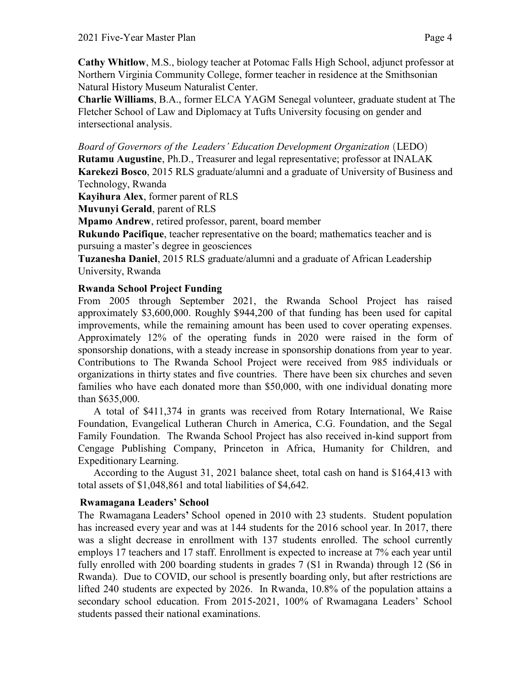Cathy Whitlow, M.S., biology teacher at Potomac Falls High School, adjunct professor at Northern Virginia Community College, former teacher in residence at the Smithsonian Natural History Museum Naturalist Center.

Charlie Williams, B.A., former ELCA YAGM Senegal volunteer, graduate student at The Fletcher School of Law and Diplomacy at Tufts University focusing on gender and intersectional analysis.

Board of Governors of the Leaders' Education Development Organization (LEDO)

Rutamu Augustine, Ph.D., Treasurer and legal representative; professor at INALAK Karekezi Bosco, 2015 RLS graduate/alumni and a graduate of University of Business and Technology, Rwanda

Kayihura Alex, former parent of RLS

Muvunyi Gerald, parent of RLS

Mpamo Andrew, retired professor, parent, board member

Rukundo Pacifique, teacher representative on the board; mathematics teacher and is pursuing a master's degree in geosciences

Tuzanesha Daniel, 2015 RLS graduate/alumni and a graduate of African Leadership University, Rwanda

## Rwanda School Project Funding

From 2005 through September 2021, the Rwanda School Project has raised approximately \$3,600,000. Roughly \$944,200 of that funding has been used for capital improvements, while the remaining amount has been used to cover operating expenses. Approximately 12% of the operating funds in 2020 were raised in the form of sponsorship donations, with a steady increase in sponsorship donations from year to year. Contributions to The Rwanda School Project were received from 985 individuals or organizations in thirty states and five countries. There have been six churches and seven families who have each donated more than \$50,000, with one individual donating more than \$635,000.

A total of \$411,374 in grants was received from Rotary International, We Raise Foundation, Evangelical Lutheran Church in America, C.G. Foundation, and the Segal Family Foundation. The Rwanda School Project has also received in-kind support from Cengage Publishing Company, Princeton in Africa, Humanity for Children, and Expeditionary Learning.

According to the August 31, 2021 balance sheet, total cash on hand is \$164,413 with total assets of \$1,048,861 and total liabilities of \$4,642.

## Rwamagana Leaders' School

The Rwamagana Leaders' School opened in 2010 with 23 students. Student population has increased every year and was at 144 students for the 2016 school year. In 2017, there was a slight decrease in enrollment with 137 students enrolled. The school currently employs 17 teachers and 17 staff. Enrollment is expected to increase at 7% each year until fully enrolled with 200 boarding students in grades 7 (S1 in Rwanda) through 12 (S6 in Rwanda). Due to COVID, our school is presently boarding only, but after restrictions are lifted 240 students are expected by 2026. In Rwanda, 10.8% of the population attains a secondary school education. From 2015-2021, 100% of Rwamagana Leaders' School students passed their national examinations.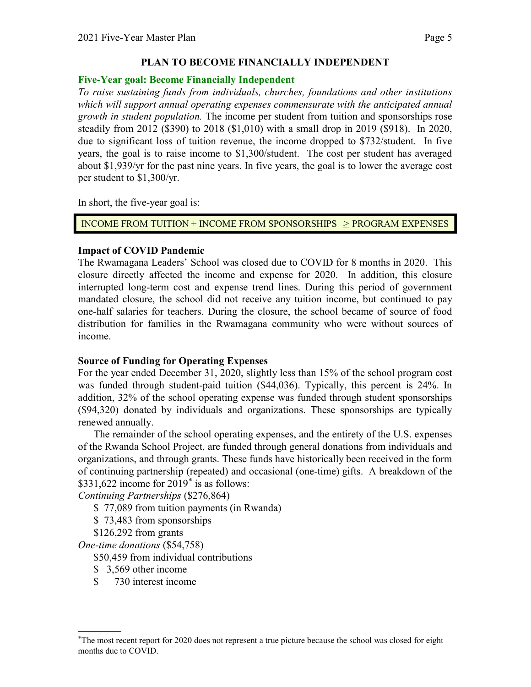#### PLAN TO BECOME FINANCIALLY INDEPENDENT

#### Five-Year goal: Become Financially Independent

To raise sustaining funds from individuals, churches, foundations and other institutions which will support annual operating expenses commensurate with the anticipated annual growth in student population. The income per student from tuition and sponsorships rose steadily from 2012 (\$390) to 2018 (\$1,010) with a small drop in 2019 (\$918). In 2020, due to significant loss of tuition revenue, the income dropped to \$732/student. In five years, the goal is to raise income to \$1,300/student. The cost per student has averaged about \$1,939/yr for the past nine years. In five years, the goal is to lower the average cost per student to \$1,300/yr.

In short, the five-year goal is:

INCOME FROM TUITION + INCOME FROM SPONSORSHIPS PROGRAM EXPENSES

# Impact of COVID Pandemic

The Rwamagana Leaders' School was closed due to COVID for 8 months in 2020. This closure directly affected the income and expense for 2020. In addition, this closure interrupted long-term cost and expense trend lines. During this period of government mandated closure, the school did not receive any tuition income, but continued to pay one-half salaries for teachers. During the closure, the school became of source of food distribution for families in the Rwamagana community who were without sources of income.

## Source of Funding for Operating Expenses

For the year ended December 31, 2020, slightly less than 15% of the school program cost was funded through student-paid tuition (\$44,036). Typically, this percent is 24%. In addition, 32% of the school operating expense was funded through student sponsorships (\$94,320) donated by individuals and organizations. These sponsorships are typically renewed annually.

The remainder of the school operating expenses, and the entirety of the U.S. expenses of the Rwanda School Project, are funded through general donations from individuals and organizations, and through grants. These funds have historically been received in the form of continuing partnership (repeated) and occasional (one-time) gifts. A breakdown of the \$331,622 income for  $2019^*$  is as follows:

Continuing Partnerships (\$276,864)

- \$ 77,089 from tuition payments (in Rwanda)
- \$ 73,483 from sponsorships
- \$126,292 from grants

One-time donations (\$54,758)

\$50,459 from individual contributions

- \$ 3,569 other income
- \$ 730 interest income

<sup>\*</sup>The most recent report for 2020 does not represent a true picture because the school was closed for eight months due to COVID.